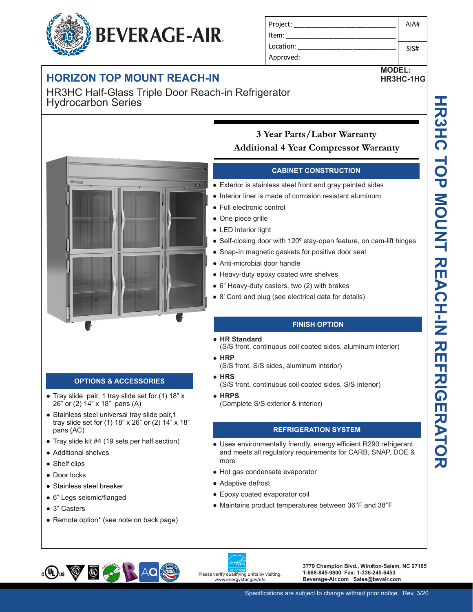## **HORIZON TOP MOUNT REACH-IN**

HR3HC Half-Glass Triple Door Reach-in Refrigerator Hydrocarbon Series

### **3 Year Parts/Labor Warranty Additional 4 Year Compressor Warranty**

#### **CABINET CONSTRUCTION**

• Exterior is stainless steel front and gray painted sides

Project: Item: Location: Approved:

- Interior liner is made of corrosion resistant aluminum
- Full electronic control
- One piece grille
- LED interior light
- Self-closing door with 120° stay-open feature, on cam-lift hinges
- Snap-In magnetic gaskets for positive door seal
- Anti-microbial door handle
- Heavy-duty epoxy coated wire shelves
- 6" Heavy-duty casters, two (2) with brakes
- 8' Cord and plug (see electrical data for details)

#### **FINISH OPTION**

● **HR Standard** 

(S/S front, continuous coil coated sides, aluminum interior) ● **HRP**

- (S/S front, S/S sides, aluminum interior)
- **HRS**

(S/S front, continuous coil coated sides, S/S interior)

● **HRPS** (Complete S/S exterior & interior)

#### **REFRIGERATION SYSTEM**

- Uses environmentally friendly, energy efficient R290 refrigerant, and meets all regulatory requirements for CARB, SNAP, DOE & more
- Hot gas condensate evaporator
- Adaptive defrost

Please verify qualifying units by visiting: www.energystar.gov/cfs

- Epoxy coated evaporator coil
- Maintains product temperatures between 36°F and 38°F

**3779 Champion Blvd., Winston-Salem, NC 27105 1-888-845-9800 Fax: 1-336-245-6453 Beverage-Air.com Sales@bevair.com**

# **OPTIONS & ACCESSORIES**

- Tray slide pair, 1 tray slide set for (1) 18" x 26" or (2) 14" x 18" pans (A)
- Stainless steel universal tray slide pair, 1 tray slide set for (1) 18" x 26" or (2) 14" x 18" pans (AC)
- Tray slide kit #4 (19 sets per half section)
- Additional shelves
- Shelf clips
- Door locks
- Stainless steel breaker
- 6" Legs seismic/flanged

 $\bigcirc$ 

● 3" Casters

 $_{c}$ (U<sub>L</sub>)<sub>us</sub>  $\bigcircled{g}$ 

• Remote option\* (see note on back page)







AIA#

SIS#

**MODEL: HR3HC-1HG**